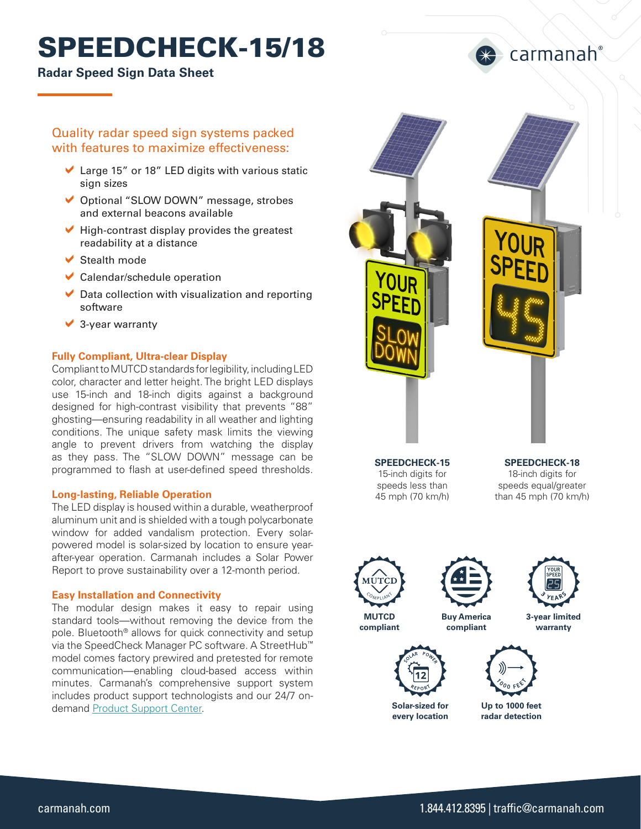# SPEEDCHECK-15/18

### **Radar Speed Sign Data Sheet**

## Quality radar speed sign systems packed with features to maximize effectiveness:

- $\blacktriangleright$  Large 15" or 18" LED digits with various static sign sizes
- ◆ Optional "SLOW DOWN" message, strobes and external beacons available
- $\blacktriangleright$  High-contrast display provides the greatest readability at a distance
- $\blacktriangleright$  Stealth mode
- $\vee$  Calendar/schedule operation
- $\triangleright$  Data collection with visualization and reporting software
- $\vee$  3-year warranty

#### **Fully Compliant, Ultra-clear Display**

Compliant to MUTCD standards for legibility, including LED color, character and letter height. The bright LED displays use 15-inch and 18-inch digits against a background designed for high-contrast visibility that prevents "88" ghosting—ensuring readability in all weather and lighting conditions. The unique safety mask limits the viewing angle to prevent drivers from watching the display as they pass. The "SLOW DOWN" message can be programmed to flash at user-defined speed thresholds.

#### **Long-lasting, Reliable Operation**

The LED display is housed within a durable, weatherproof aluminum unit and is shielded with a tough polycarbonate window for added vandalism protection. Every solarpowered model is solar-sized by location to ensure yearafter-year operation. Carmanah includes a Solar Power Report to prove sustainability over a 12-month period.

#### **Easy Installation and Connectivity**

The modular design makes it easy to repair using standard tools—without removing the device from the pole. Bluetooth® allows for quick connectivity and setup via the SpeedCheck Manager PC software. A StreetHub™ model comes factory prewired and pretested for remote communication—enabling cloud-based access within minutes. Carmanah's comprehensive support system includes product support technologists and our 24/7 on-demand [Product Support Center](https://support.carmanah.com/).